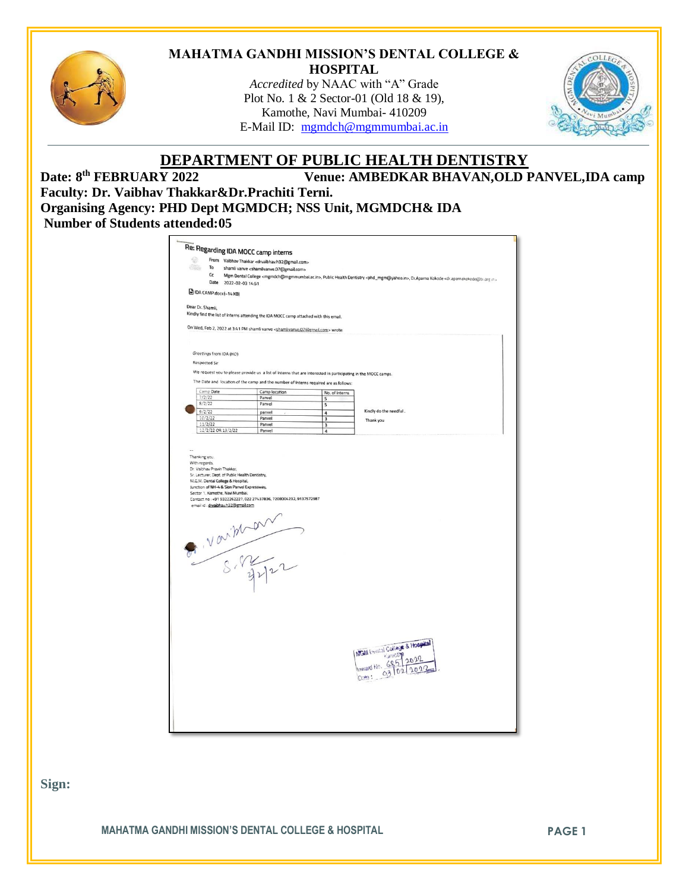

### **MAHATMA GANDHI MISSION'S DENTAL COLLEGE & HOSPITAL**

*Accredited* by NAAC with "A" Grade Plot No. 1 & 2 Sector-01 (Old 18 & 19), Kamothe, Navi Mumbai- 410209 E-Mail ID: [mgmdch@mgmmumbai.ac.in](mailto:mgmdch@mgmmumbai.ac.in)



# **DEPARTMENT OF PUBLIC HEALTH DENTISTRY**

Date: 8<sup>th</sup> FEBRUARY 2022 **Venue: AMBEDKAR BHAVAN, OLD PANVEL, IDA camp Faculty: Dr. Vaibhav Thakkar&Dr.Prachiti Terni. Organising Agency: PHD Dept MGMDCH; NSS Unit, MGMDCH& IDA Number of Students attended:05**

| <b>PAGE</b>      |                      |                                                                                                                                                                                                                                           |                                                                                                                                                 |                                                                                                               |                        |  |  |
|------------------|----------------------|-------------------------------------------------------------------------------------------------------------------------------------------------------------------------------------------------------------------------------------------|-------------------------------------------------------------------------------------------------------------------------------------------------|---------------------------------------------------------------------------------------------------------------|------------------------|--|--|
|                  | To                   |                                                                                                                                                                                                                                           | From Vaibhav Thakkar <drvaibhav.h32@gmail.com><br/>shamli vanve <shamlivanve.07@gmail.com></shamlivanve.07@gmail.com></drvaibhav.h32@gmail.com> |                                                                                                               |                        |  |  |
|                  | Cc                   | Mgm Dental College <mgmdch@mgmmumbai.ac.in>, Public Health Dentistry <phd_mgm@yahoo.in>, Dr.Aparna Kokode <dr.aparnakokode@tu.org.in><br/>Date 2022-02-03 14:51</dr.aparnakokode@tu.org.in></phd_mgm@yahoo.in></mgmdch@mgmmumbai.ac.in>   |                                                                                                                                                 |                                                                                                               |                        |  |  |
|                  |                      |                                                                                                                                                                                                                                           |                                                                                                                                                 |                                                                                                               |                        |  |  |
|                  |                      | DA CAMP.docx(-14 KB)                                                                                                                                                                                                                      |                                                                                                                                                 |                                                                                                               |                        |  |  |
|                  |                      |                                                                                                                                                                                                                                           |                                                                                                                                                 |                                                                                                               |                        |  |  |
| Dear Dr. Shamli, |                      |                                                                                                                                                                                                                                           |                                                                                                                                                 |                                                                                                               |                        |  |  |
|                  |                      |                                                                                                                                                                                                                                           | Kindly find the list of interns attending the IDA MOCC camp attached with this email.                                                           |                                                                                                               |                        |  |  |
|                  |                      |                                                                                                                                                                                                                                           | On Wed, Feb 2, 2022 at 3:41 PM shamli vanve <shamlivanve, 07@gmail.com=""> wrote:</shamlivanve,>                                                |                                                                                                               |                        |  |  |
|                  |                      |                                                                                                                                                                                                                                           |                                                                                                                                                 |                                                                                                               |                        |  |  |
|                  |                      |                                                                                                                                                                                                                                           |                                                                                                                                                 |                                                                                                               |                        |  |  |
|                  |                      | Greetings from IDA (HO)                                                                                                                                                                                                                   |                                                                                                                                                 |                                                                                                               |                        |  |  |
|                  | <b>Respected Sir</b> |                                                                                                                                                                                                                                           |                                                                                                                                                 |                                                                                                               |                        |  |  |
|                  |                      |                                                                                                                                                                                                                                           |                                                                                                                                                 | We request you to please provide us a list of interns that are interested in participating in the MOCC camps. |                        |  |  |
|                  |                      |                                                                                                                                                                                                                                           |                                                                                                                                                 |                                                                                                               |                        |  |  |
|                  |                      |                                                                                                                                                                                                                                           | The Date and location of the camp and the number of interns required are as follows:                                                            |                                                                                                               |                        |  |  |
|                  | Camp Date<br>7/2/22  |                                                                                                                                                                                                                                           | Camp location<br>Panvel                                                                                                                         | No. of interns<br>5                                                                                           |                        |  |  |
|                  | 8/2/22               |                                                                                                                                                                                                                                           | Panvel                                                                                                                                          | 5                                                                                                             |                        |  |  |
|                  | 9/2/22               |                                                                                                                                                                                                                                           | panvel                                                                                                                                          | $\overline{4}$                                                                                                | Kindly do the needful. |  |  |
|                  | 10/2/22<br>11/2/22   |                                                                                                                                                                                                                                           | Panvel<br>Panvel                                                                                                                                | $\overline{\mathbf{3}}$<br>$\overline{\mathbf{3}}$                                                            | Thank you              |  |  |
|                  |                      | 12/2/22 OR 13/2/22                                                                                                                                                                                                                        | Panvel                                                                                                                                          | $\overline{4}$                                                                                                |                        |  |  |
|                  | With regards,        | Dr. Vaibhav Pravin Thakkar,<br>Sr. Lecturer, Dept. of Public Health Dentistry,<br>M.G.M. Dental College & Hospital,<br>Junction of NH-4 & Sion Panvel Expressway,<br>Sector 1, Kamothe, Navi Mumbai.<br>email id: drvaibhav.h32@gmail.com | Contact no: +91 9322262227, 022 27437836, 7208004232, 9137572987                                                                                |                                                                                                               |                        |  |  |
|                  |                      |                                                                                                                                                                                                                                           | 8. Varithan                                                                                                                                     |                                                                                                               |                        |  |  |

**Sign:**

**MAHATMA GANDHI MISSION'S DENTAL COLLEGE & HOSPITAL PAGE 1**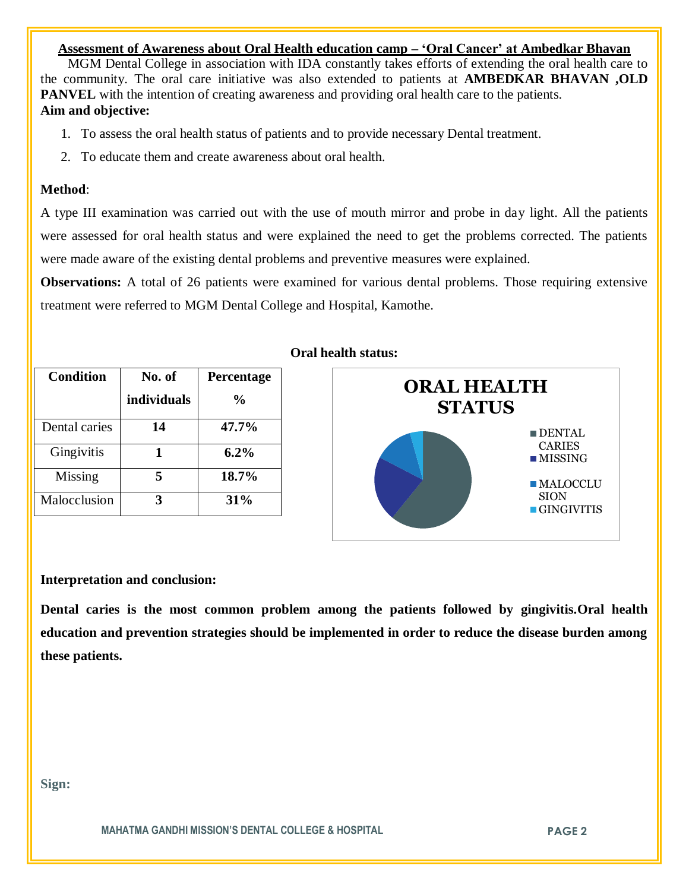## **Assessment of Awareness about Oral Health education camp – 'Oral Cancer' at Ambedkar Bhavan**

 MGM Dental College in association with IDA constantly takes efforts of extending the oral health care to the community. The oral care initiative was also extended to patients at **AMBEDKAR BHAVAN ,OLD PANVEL** with the intention of creating awareness and providing oral health care to the patients. **Aim and objective:** 

- 1. To assess the oral health status of patients and to provide necessary Dental treatment.
- 2. To educate them and create awareness about oral health.

### **Method**:

A type III examination was carried out with the use of mouth mirror and probe in day light. All the patients were assessed for oral health status and were explained the need to get the problems corrected. The patients were made aware of the existing dental problems and preventive measures were explained.

**Observations:** A total of 26 patients were examined for various dental problems. Those requiring extensive treatment were referred to MGM Dental College and Hospital, Kamothe.

| <b>Condition</b> | No. of      | Percentage |
|------------------|-------------|------------|
|                  | individuals | $\%$       |
| Dental caries    | 14          | 47.7%      |
| Gingivitis       |             | $6.2\%$    |
| Missing          |             | 18.7%      |
| Malocclusion     |             | 31%        |

# **Oral health status:**



#### **Interpretation and conclusion:**

**Dental caries is the most common problem among the patients followed by gingivitis.Oral health education and prevention strategies should be implemented in order to reduce the disease burden among these patients.**

**Sign:**

**MAHATMA GANDHI MISSION'S DENTAL COLLEGE & HOSPITAL PAGE 2**